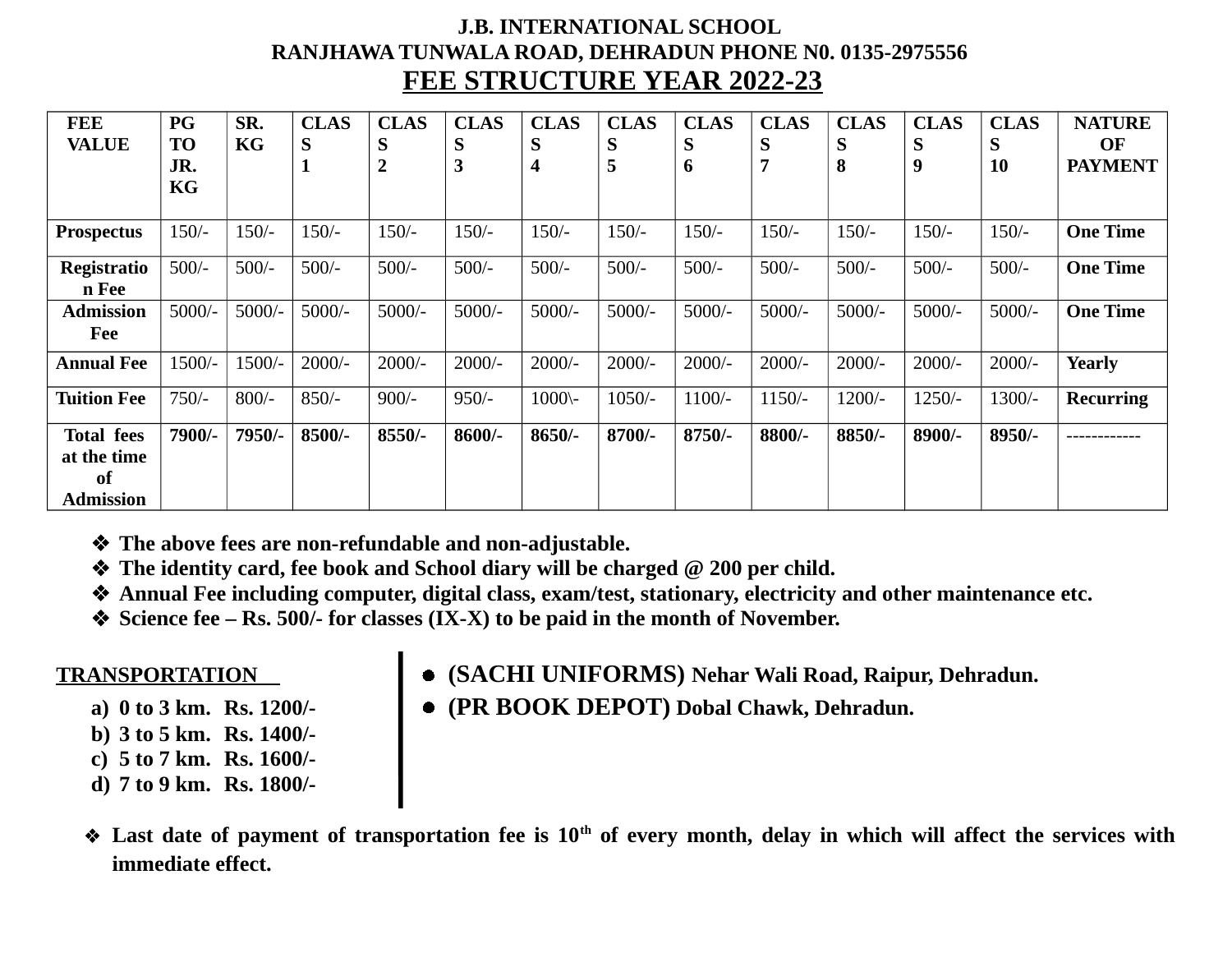## **J.B. INTERNATIONAL SCHOOL RANJHAWA TUNWALA ROAD, DEHRADUN PHONE N0. 0135-2975556 FEE STRUCTURE YEAR 2022-23**

| <b>FEE</b><br><b>VALUE</b>                                 | <b>PG</b><br><b>TO</b><br>JR.<br>KG | SR.<br>KG | <b>CLAS</b><br>S<br>$\mathbf{1}$ | <b>CLAS</b><br>S<br>$\overline{2}$ | <b>CLAS</b><br>S<br>3 | <b>CLAS</b><br>S<br>4 | <b>CLAS</b><br>S<br>5 | <b>CLAS</b><br>S<br>6 | <b>CLAS</b><br>S<br>7 | <b>CLAS</b><br>S<br>8 | <b>CLAS</b><br>S<br>9 | <b>CLAS</b><br>S<br><b>10</b> | <b>NATURE</b><br><b>OF</b><br><b>PAYMENT</b> |
|------------------------------------------------------------|-------------------------------------|-----------|----------------------------------|------------------------------------|-----------------------|-----------------------|-----------------------|-----------------------|-----------------------|-----------------------|-----------------------|-------------------------------|----------------------------------------------|
| <b>Prospectus</b>                                          | $150/-$                             | $150/-$   | $150/-$                          | $150/-$                            | $150/-$               | $150/-$               | $150/-$               | $150/-$               | $150/-$               | $150/-$               | $150/-$               | $150/-$                       | <b>One Time</b>                              |
| <b>Registratio</b><br>n Fee                                | $500/-$                             | $500/-$   | $500/-$                          | $500/-$                            | $500/-$               | $500/-$               | $500/-$               | $500/-$               | $500/-$               | $500/-$               | $500/-$               | $500/-$                       | <b>One Time</b>                              |
| <b>Admission</b><br>Fee                                    | $5000/-$                            | $5000/-$  | $5000/-$                         | $5000/-$                           | $5000/-$              | $5000/-$              | $5000/-$              | $5000/-$              | $5000/-$              | $5000/-$              | $5000/-$              | $5000/-$                      | <b>One Time</b>                              |
| <b>Annual Fee</b>                                          | $1500/-$                            | 1500/-    | $2000/-$                         | $2000/-$                           | $2000/-$              | $2000/-$              | $2000/-$              | $2000/-$              | $2000/-$              | $2000/-$              | $2000/-$              | $2000/-$                      | Yearly                                       |
| <b>Tuition Fee</b>                                         | $750/-$                             | $800/-$   | $850/-$                          | $900/-$                            | $950/-$               | $1000 -$              | $1050/-$              | $1100/-$              | $1150/-$              | $1200/-$              | $1250/-$              | $1300/-$                      | <b>Recurring</b>                             |
| <b>Total fees</b><br>at the time<br>of<br><b>Admission</b> | 7900/-                              | 7950/-    | $8500/-$                         | $8550/-$                           | 8600/-                | $8650/-$              | 8700/-                | 8750/-                | 8800/-                | 8850/-                | 8900/-                | 8950/-                        |                                              |

- **The above fees are non-refundable and non-adjustable.**
- ◆ The identity card, fee book and School diary will be charged @ 200 per child.
- **Annual Fee including computer, digital class, exam/test, stationary, electricity and other maintenance etc.**
- **Science fee Rs. 500/- for classes (IX-X) to be paid in the month of November.**

- 
- **b) 3 to 5 km. Rs. 1400/-**
- **c) 5 to 7 km. Rs. 1600/-**
- **d) 7 to 9 km. Rs. 1800/-**
- **TRANSPORTATION (SACHI UNIFORMS) Nehar Wali Road, Raipur, Dehradun.**
	- **a) 0 to 3 km. Rs. 1200/- (PR BOOK DEPOT) Dobal Chawk, Dehradun.**

 **Last date of payment of transportation fee is 10th of every month, delay in which will affect the services with immediate effect.**